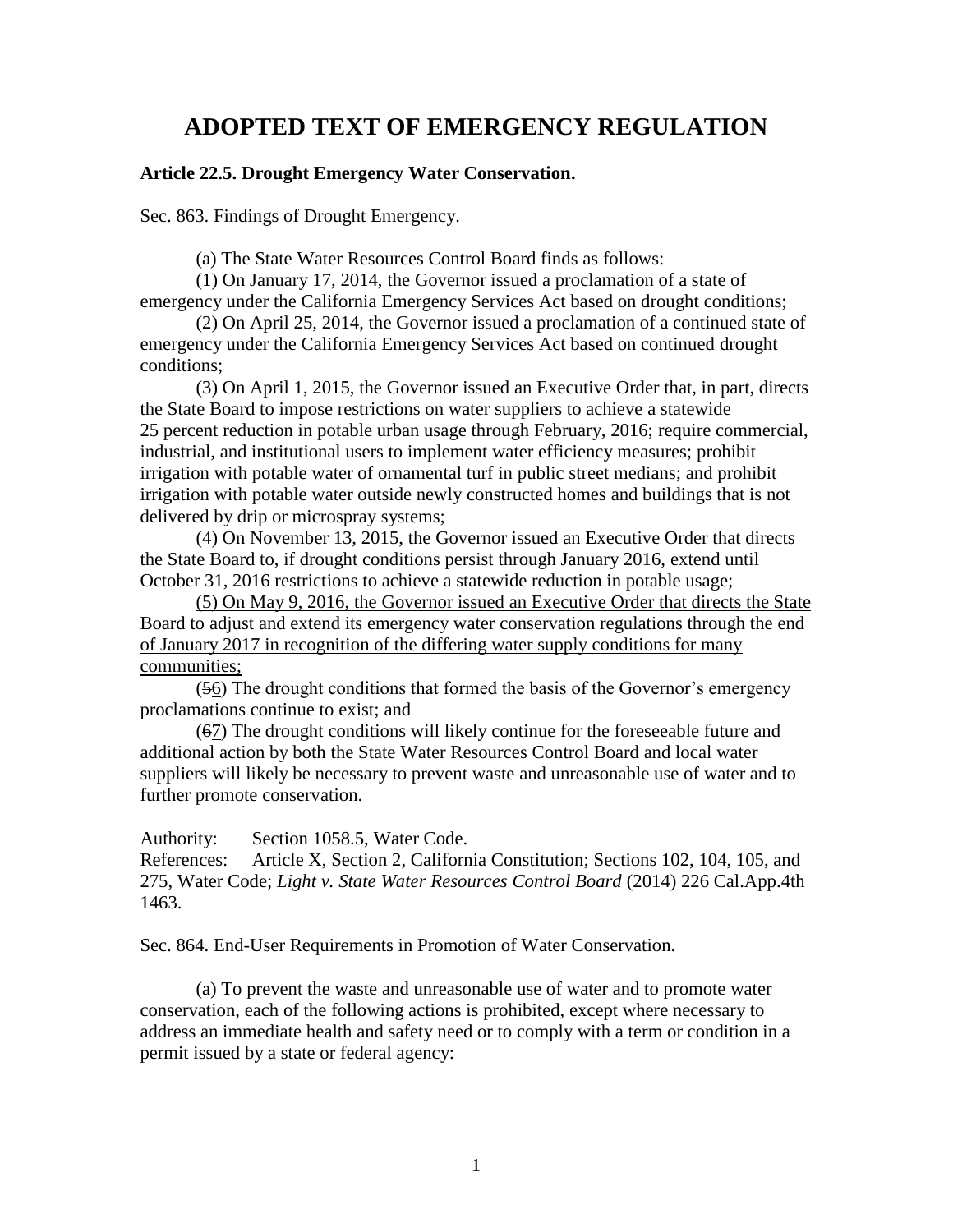## **ADOPTED TEXT OF EMERGENCY REGULATION**

## **Article 22.5. Drought Emergency Water Conservation.**

Sec. 863. Findings of Drought Emergency.

(a) The State Water Resources Control Board finds as follows:

(1) On January 17, 2014, the Governor issued a proclamation of a state of emergency under the California Emergency Services Act based on drought conditions;

(2) On April 25, 2014, the Governor issued a proclamation of a continued state of emergency under the California Emergency Services Act based on continued drought conditions;

(3) On April 1, 2015, the Governor issued an Executive Order that, in part, directs the State Board to impose restrictions on water suppliers to achieve a statewide 25 percent reduction in potable urban usage through February, 2016; require commercial, industrial, and institutional users to implement water efficiency measures; prohibit irrigation with potable water of ornamental turf in public street medians; and prohibit irrigation with potable water outside newly constructed homes and buildings that is not delivered by drip or microspray systems;

(4) On November 13, 2015, the Governor issued an Executive Order that directs the State Board to, if drought conditions persist through January 2016, extend until October 31, 2016 restrictions to achieve a statewide reduction in potable usage;

(5) On May 9, 2016, the Governor issued an Executive Order that directs the State Board to adjust and extend its emergency water conservation regulations through the end of January 2017 in recognition of the differing water supply conditions for many communities;

(56) The drought conditions that formed the basis of the Governor's emergency proclamations continue to exist; and

(67) The drought conditions will likely continue for the foreseeable future and additional action by both the State Water Resources Control Board and local water suppliers will likely be necessary to prevent waste and unreasonable use of water and to further promote conservation.

Authority: Section 1058.5, Water Code.

References: Article X, Section 2, California Constitution; Sections 102, 104, 105, and 275, Water Code; *Light v. State Water Resources Control Board* (2014) 226 Cal.App.4th 1463.

Sec. 864. End-User Requirements in Promotion of Water Conservation.

(a) To prevent the waste and unreasonable use of water and to promote water conservation, each of the following actions is prohibited, except where necessary to address an immediate health and safety need or to comply with a term or condition in a permit issued by a state or federal agency: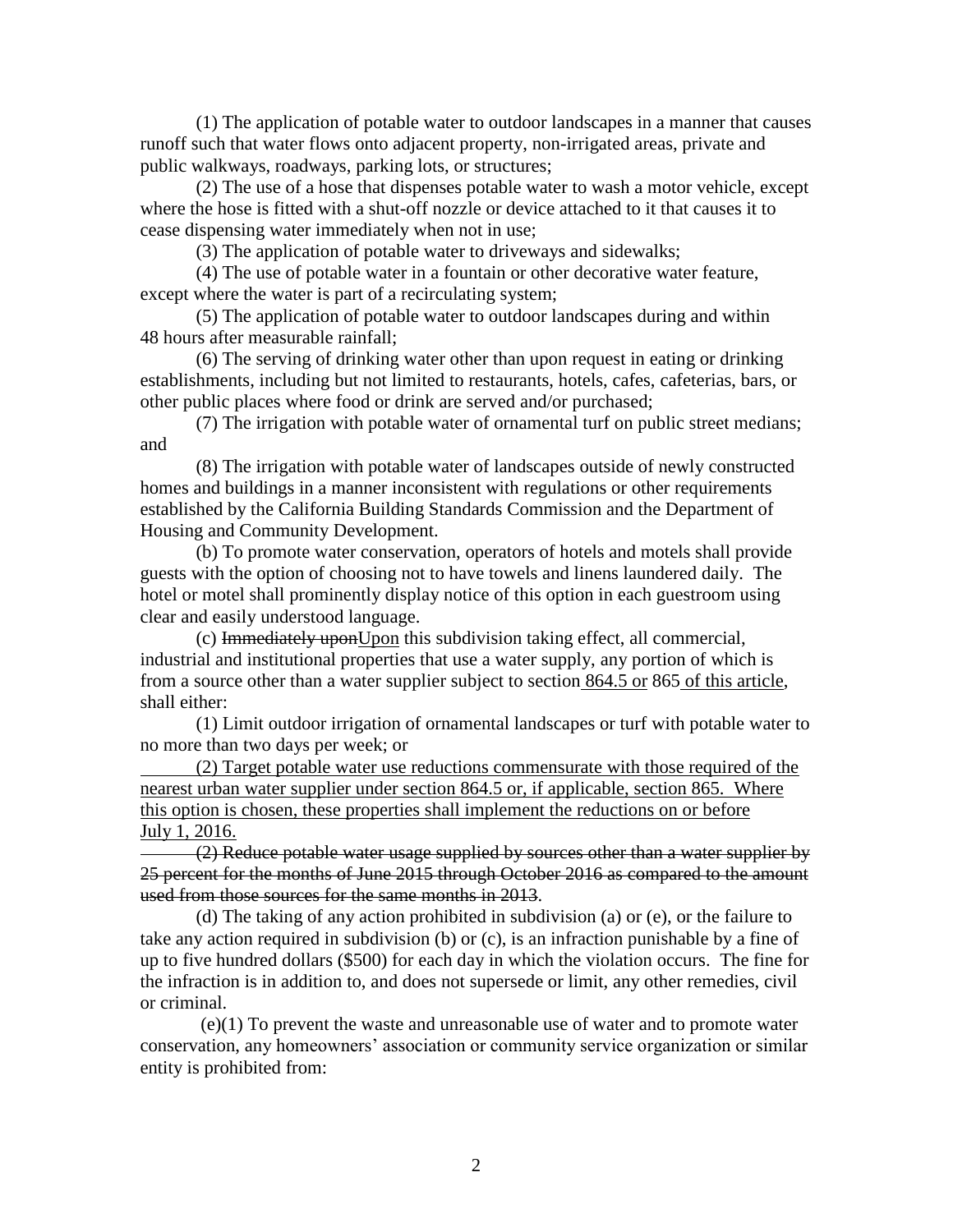(1) The application of potable water to outdoor landscapes in a manner that causes runoff such that water flows onto adjacent property, non-irrigated areas, private and public walkways, roadways, parking lots, or structures;

(2) The use of a hose that dispenses potable water to wash a motor vehicle, except where the hose is fitted with a shut-off nozzle or device attached to it that causes it to cease dispensing water immediately when not in use;

(3) The application of potable water to driveways and sidewalks;

(4) The use of potable water in a fountain or other decorative water feature, except where the water is part of a recirculating system;

(5) The application of potable water to outdoor landscapes during and within 48 hours after measurable rainfall;

(6) The serving of drinking water other than upon request in eating or drinking establishments, including but not limited to restaurants, hotels, cafes, cafeterias, bars, or other public places where food or drink are served and/or purchased;

(7) The irrigation with potable water of ornamental turf on public street medians; and

(8) The irrigation with potable water of landscapes outside of newly constructed homes and buildings in a manner inconsistent with regulations or other requirements established by the California Building Standards Commission and the Department of Housing and Community Development.

(b) To promote water conservation, operators of hotels and motels shall provide guests with the option of choosing not to have towels and linens laundered daily. The hotel or motel shall prominently display notice of this option in each guestroom using clear and easily understood language.

(c) Immediately uponUpon this subdivision taking effect, all commercial, industrial and institutional properties that use a water supply, any portion of which is from a source other than a water supplier subject to section 864.5 or 865 of this article, shall either:

(1) Limit outdoor irrigation of ornamental landscapes or turf with potable water to no more than two days per week; or

(2) Target potable water use reductions commensurate with those required of the nearest urban water supplier under section 864.5 or, if applicable, section 865. Where this option is chosen, these properties shall implement the reductions on or before July 1, 2016.

(2) Reduce potable water usage supplied by sources other than a water supplier by 25 percent for the months of June 2015 through October 2016 as compared to the amount used from those sources for the same months in 2013.

(d) The taking of any action prohibited in subdivision (a) or (e), or the failure to take any action required in subdivision (b) or (c), is an infraction punishable by a fine of up to five hundred dollars (\$500) for each day in which the violation occurs. The fine for the infraction is in addition to, and does not supersede or limit, any other remedies, civil or criminal.

(e)(1) To prevent the waste and unreasonable use of water and to promote water conservation, any homeowners' association or community service organization or similar entity is prohibited from: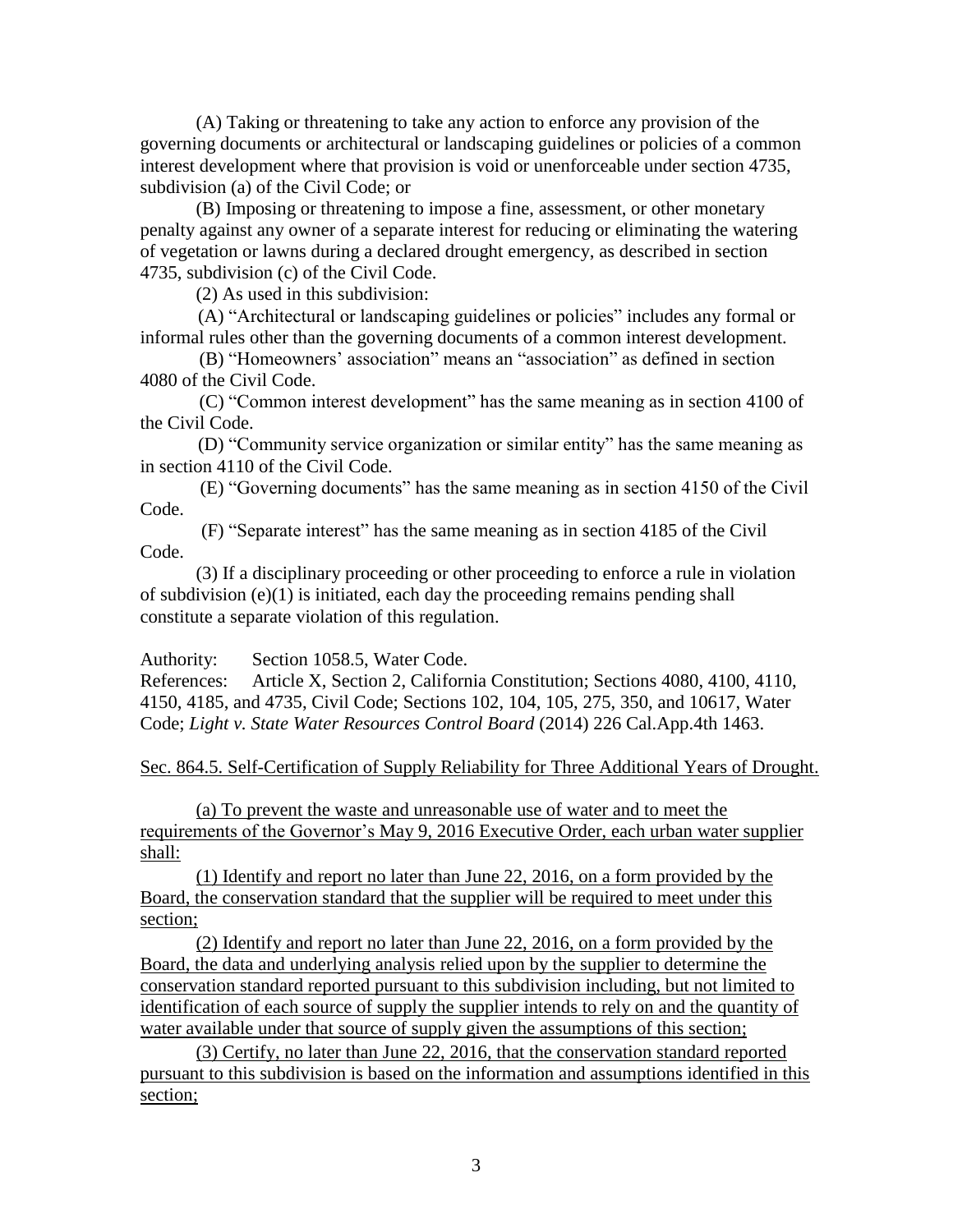(A) Taking or threatening to take any action to enforce any provision of the governing documents or architectural or landscaping guidelines or policies of a common interest development where that provision is void or unenforceable under section 4735, subdivision (a) of the Civil Code; or

(B) Imposing or threatening to impose a fine, assessment, or other monetary penalty against any owner of a separate interest for reducing or eliminating the watering of vegetation or lawns during a declared drought emergency, as described in section 4735, subdivision (c) of the Civil Code.

(2) As used in this subdivision:

(A) "Architectural or landscaping guidelines or policies" includes any formal or informal rules other than the governing documents of a common interest development.

(B) "Homeowners' association" means an "association" as defined in section 4080 of the Civil Code.

(C) "Common interest development" has the same meaning as in section 4100 of the Civil Code.

(D) "Community service organization or similar entity" has the same meaning as in section 4110 of the Civil Code.

(E) "Governing documents" has the same meaning as in section 4150 of the Civil Code.

(F) "Separate interest" has the same meaning as in section 4185 of the Civil Code.

(3) If a disciplinary proceeding or other proceeding to enforce a rule in violation of subdivision (e)(1) is initiated, each day the proceeding remains pending shall constitute a separate violation of this regulation.

Authority: Section 1058.5, Water Code.

References: Article X, Section 2, California Constitution; Sections 4080, 4100, 4110, 4150, 4185, and 4735, Civil Code; Sections 102, 104, 105, 275, 350, and 10617, Water Code; *Light v. State Water Resources Control Board* (2014) 226 Cal.App.4th 1463.

Sec. 864.5. Self-Certification of Supply Reliability for Three Additional Years of Drought.

(a) To prevent the waste and unreasonable use of water and to meet the requirements of the Governor's May 9, 2016 Executive Order, each urban water supplier shall:

(1) Identify and report no later than June 22, 2016, on a form provided by the Board, the conservation standard that the supplier will be required to meet under this section;

(2) Identify and report no later than June 22, 2016, on a form provided by the Board, the data and underlying analysis relied upon by the supplier to determine the conservation standard reported pursuant to this subdivision including, but not limited to identification of each source of supply the supplier intends to rely on and the quantity of water available under that source of supply given the assumptions of this section;

(3) Certify, no later than June 22, 2016, that the conservation standard reported pursuant to this subdivision is based on the information and assumptions identified in this section;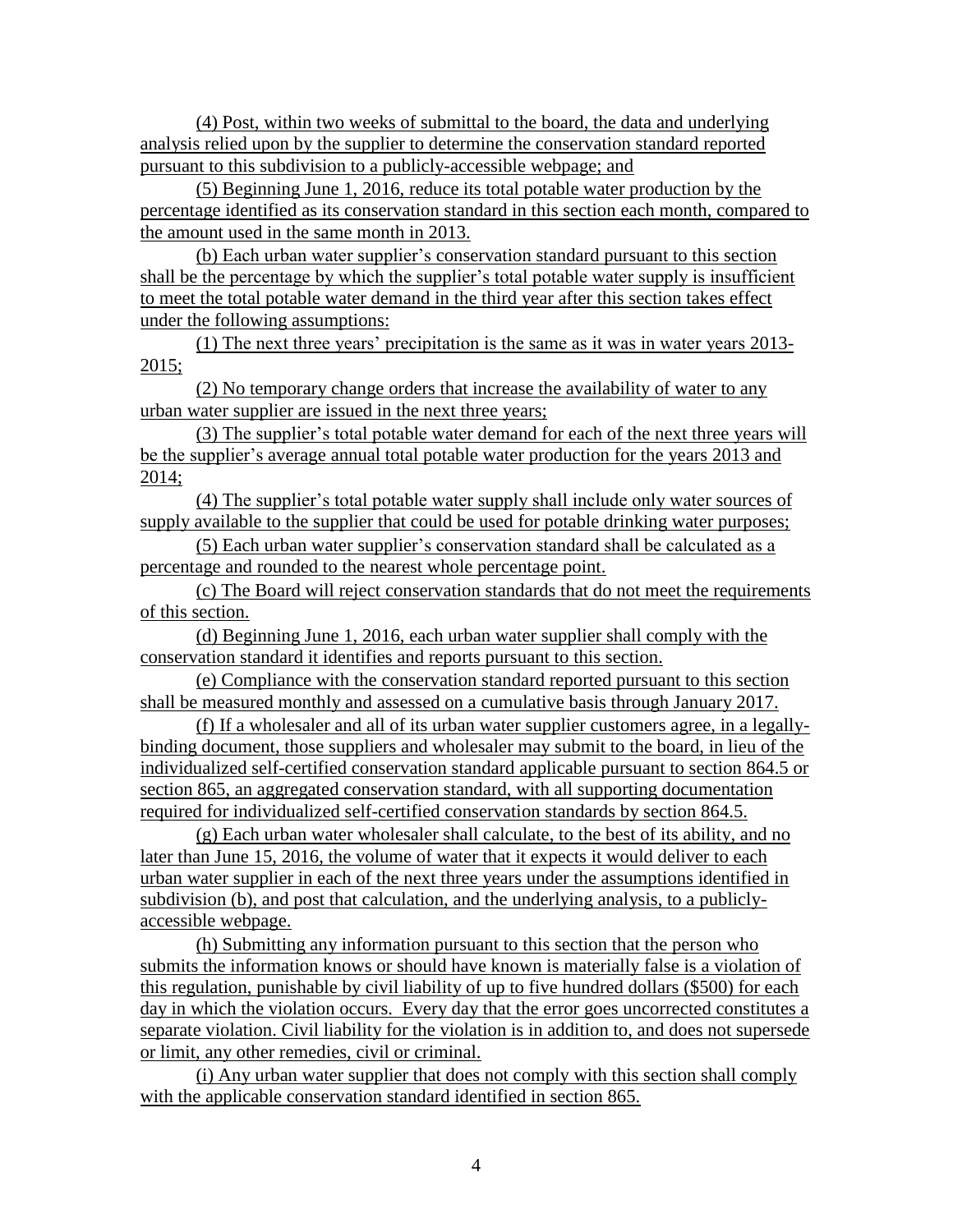(4) Post, within two weeks of submittal to the board, the data and underlying analysis relied upon by the supplier to determine the conservation standard reported pursuant to this subdivision to a publicly-accessible webpage; and

(5) Beginning June 1, 2016, reduce its total potable water production by the percentage identified as its conservation standard in this section each month, compared to the amount used in the same month in 2013.

(b) Each urban water supplier's conservation standard pursuant to this section shall be the percentage by which the supplier's total potable water supply is insufficient to meet the total potable water demand in the third year after this section takes effect under the following assumptions:

(1) The next three years' precipitation is the same as it was in water years 2013- 2015;

(2) No temporary change orders that increase the availability of water to any urban water supplier are issued in the next three years;

(3) The supplier's total potable water demand for each of the next three years will be the supplier's average annual total potable water production for the years 2013 and 2014;

(4) The supplier's total potable water supply shall include only water sources of supply available to the supplier that could be used for potable drinking water purposes;

(5) Each urban water supplier's conservation standard shall be calculated as a percentage and rounded to the nearest whole percentage point.

(c) The Board will reject conservation standards that do not meet the requirements of this section.

(d) Beginning June 1, 2016, each urban water supplier shall comply with the conservation standard it identifies and reports pursuant to this section.

(e) Compliance with the conservation standard reported pursuant to this section shall be measured monthly and assessed on a cumulative basis through January 2017.

(f) If a wholesaler and all of its urban water supplier customers agree, in a legallybinding document, those suppliers and wholesaler may submit to the board, in lieu of the individualized self-certified conservation standard applicable pursuant to section 864.5 or section 865, an aggregated conservation standard, with all supporting documentation required for individualized self-certified conservation standards by section 864.5.

(g) Each urban water wholesaler shall calculate, to the best of its ability, and no later than June 15, 2016, the volume of water that it expects it would deliver to each urban water supplier in each of the next three years under the assumptions identified in subdivision (b), and post that calculation, and the underlying analysis, to a publiclyaccessible webpage.

(h) Submitting any information pursuant to this section that the person who submits the information knows or should have known is materially false is a violation of this regulation, punishable by civil liability of up to five hundred dollars (\$500) for each day in which the violation occurs. Every day that the error goes uncorrected constitutes a separate violation. Civil liability for the violation is in addition to, and does not supersede or limit, any other remedies, civil or criminal.

(i) Any urban water supplier that does not comply with this section shall comply with the applicable conservation standard identified in section 865.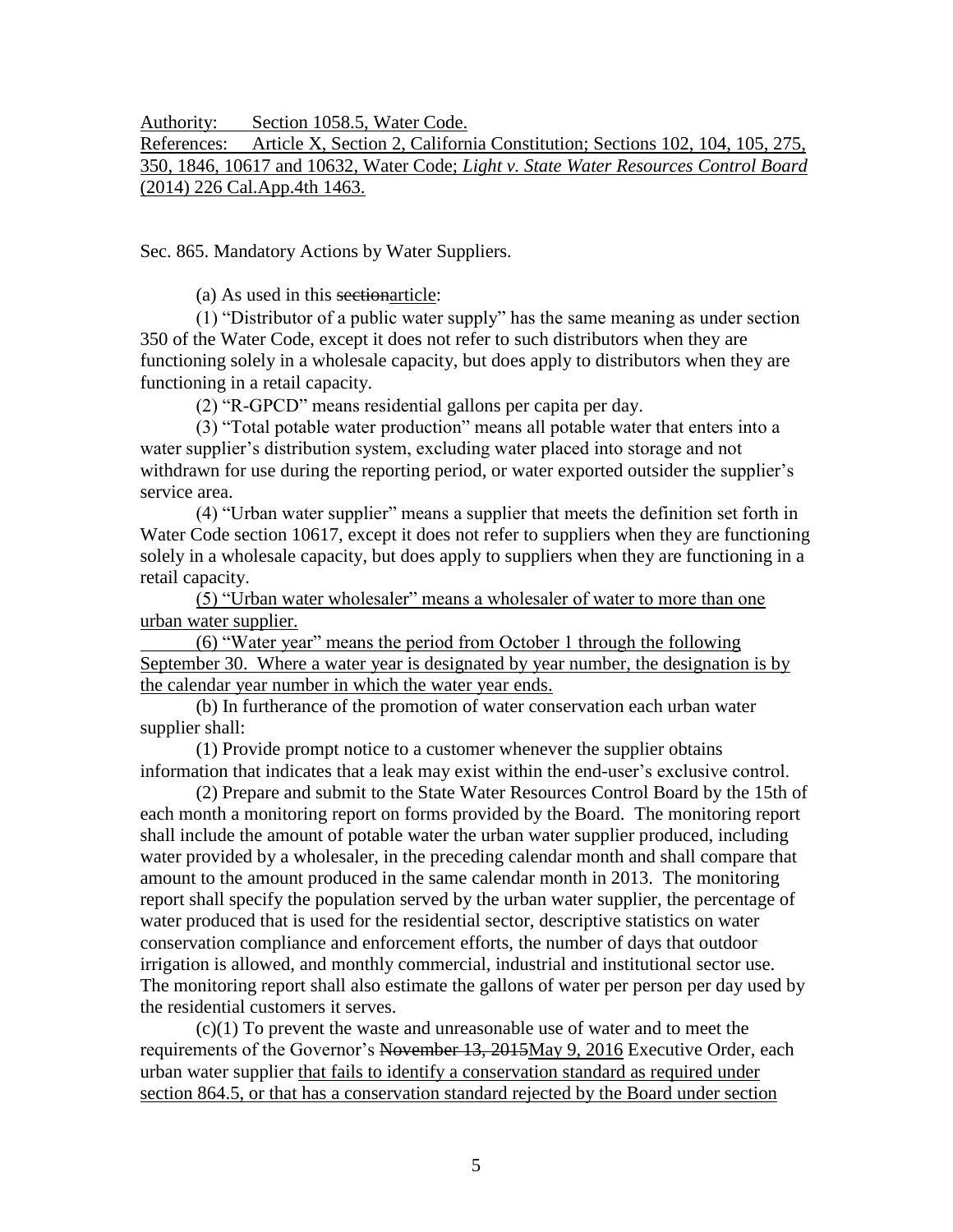Authority: Section 1058.5, Water Code.

References: Article X, Section 2, California Constitution; Sections 102, 104, 105, 275, 350, 1846, 10617 and 10632, Water Code; *Light v. State Water Resources Control Board*  (2014) 226 Cal.App.4th 1463.

Sec. 865. Mandatory Actions by Water Suppliers.

(a) As used in this sectionarticle:

(1) "Distributor of a public water supply" has the same meaning as under section 350 of the Water Code, except it does not refer to such distributors when they are functioning solely in a wholesale capacity, but does apply to distributors when they are functioning in a retail capacity.

(2) "R-GPCD" means residential gallons per capita per day.

(3) "Total potable water production" means all potable water that enters into a water supplier's distribution system, excluding water placed into storage and not withdrawn for use during the reporting period, or water exported outsider the supplier's service area.

(4) "Urban water supplier" means a supplier that meets the definition set forth in Water Code section 10617, except it does not refer to suppliers when they are functioning solely in a wholesale capacity, but does apply to suppliers when they are functioning in a retail capacity.

(5) "Urban water wholesaler" means a wholesaler of water to more than one urban water supplier.

(6) "Water year" means the period from October 1 through the following September 30. Where a water year is designated by year number, the designation is by the calendar year number in which the water year ends.

(b) In furtherance of the promotion of water conservation each urban water supplier shall:

(1) Provide prompt notice to a customer whenever the supplier obtains information that indicates that a leak may exist within the end-user's exclusive control.

(2) Prepare and submit to the State Water Resources Control Board by the 15th of each month a monitoring report on forms provided by the Board. The monitoring report shall include the amount of potable water the urban water supplier produced, including water provided by a wholesaler, in the preceding calendar month and shall compare that amount to the amount produced in the same calendar month in 2013. The monitoring report shall specify the population served by the urban water supplier, the percentage of water produced that is used for the residential sector, descriptive statistics on water conservation compliance and enforcement efforts, the number of days that outdoor irrigation is allowed, and monthly commercial, industrial and institutional sector use. The monitoring report shall also estimate the gallons of water per person per day used by the residential customers it serves.

(c)(1) To prevent the waste and unreasonable use of water and to meet the requirements of the Governor's November 13, 2015May 9, 2016 Executive Order, each urban water supplier that fails to identify a conservation standard as required under section 864.5, or that has a conservation standard rejected by the Board under section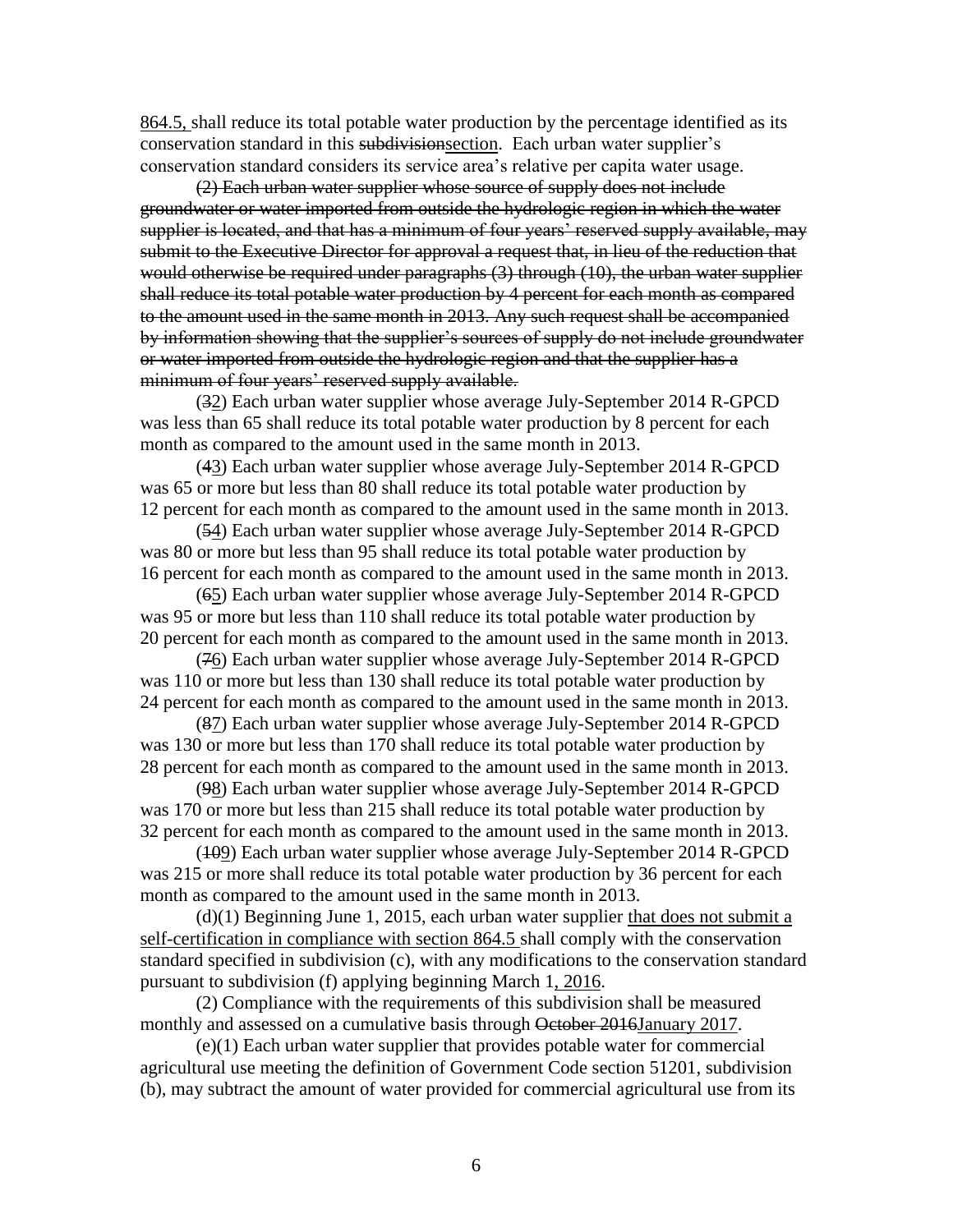864.5, shall reduce its total potable water production by the percentage identified as its conservation standard in this subdivisionsection. Each urban water supplier's conservation standard considers its service area's relative per capita water usage.

(2) Each urban water supplier whose source of supply does not include groundwater or water imported from outside the hydrologic region in which the water supplier is located, and that has a minimum of four years' reserved supply available, may submit to the Executive Director for approval a request that, in lieu of the reduction that would otherwise be required under paragraphs (3) through (10), the urban water supplier shall reduce its total potable water production by 4 percent for each month as compared to the amount used in the same month in 2013. Any such request shall be accompanied by information showing that the supplier's sources of supply do not include groundwater or water imported from outside the hydrologic region and that the supplier has a minimum of four years' reserved supply available.

(32) Each urban water supplier whose average July-September 2014 R-GPCD was less than 65 shall reduce its total potable water production by 8 percent for each month as compared to the amount used in the same month in 2013.

(43) Each urban water supplier whose average July-September 2014 R-GPCD was 65 or more but less than 80 shall reduce its total potable water production by 12 percent for each month as compared to the amount used in the same month in 2013.

(54) Each urban water supplier whose average July-September 2014 R-GPCD was 80 or more but less than 95 shall reduce its total potable water production by 16 percent for each month as compared to the amount used in the same month in 2013.

(65) Each urban water supplier whose average July-September 2014 R-GPCD was 95 or more but less than 110 shall reduce its total potable water production by 20 percent for each month as compared to the amount used in the same month in 2013.

(76) Each urban water supplier whose average July-September 2014 R-GPCD was 110 or more but less than 130 shall reduce its total potable water production by 24 percent for each month as compared to the amount used in the same month in 2013.

(87) Each urban water supplier whose average July-September 2014 R-GPCD was 130 or more but less than 170 shall reduce its total potable water production by 28 percent for each month as compared to the amount used in the same month in 2013.

(98) Each urban water supplier whose average July-September 2014 R-GPCD was 170 or more but less than 215 shall reduce its total potable water production by 32 percent for each month as compared to the amount used in the same month in 2013.

(109) Each urban water supplier whose average July-September 2014 R-GPCD was 215 or more shall reduce its total potable water production by 36 percent for each month as compared to the amount used in the same month in 2013.

(d)(1) Beginning June 1, 2015, each urban water supplier that does not submit a self-certification in compliance with section 864.5 shall comply with the conservation standard specified in subdivision (c), with any modifications to the conservation standard pursuant to subdivision (f) applying beginning March 1, 2016.

(2) Compliance with the requirements of this subdivision shall be measured monthly and assessed on a cumulative basis through October 2016 January 2017.

(e)(1) Each urban water supplier that provides potable water for commercial agricultural use meeting the definition of Government Code section 51201, subdivision (b), may subtract the amount of water provided for commercial agricultural use from its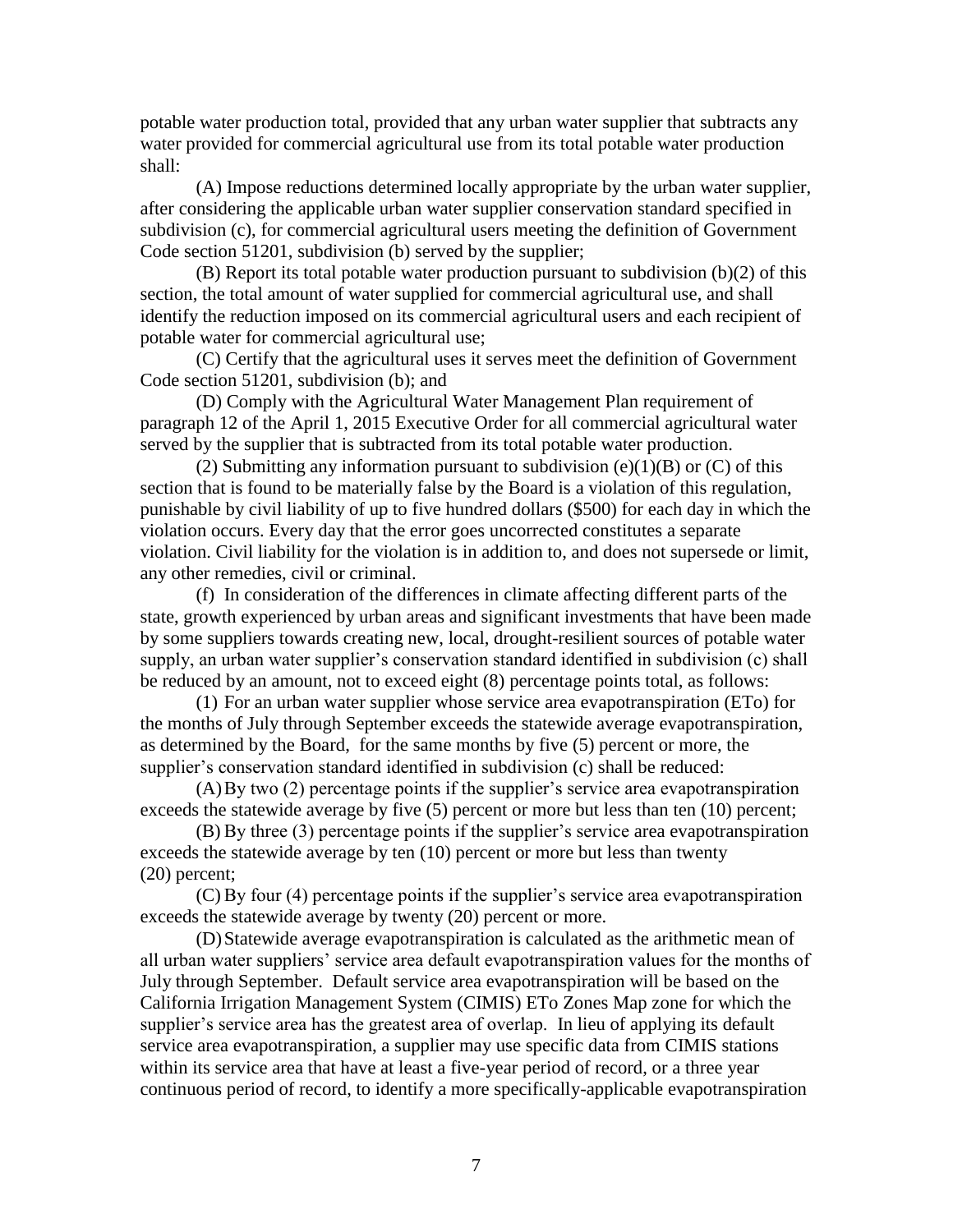potable water production total, provided that any urban water supplier that subtracts any water provided for commercial agricultural use from its total potable water production shall:

(A) Impose reductions determined locally appropriate by the urban water supplier, after considering the applicable urban water supplier conservation standard specified in subdivision (c), for commercial agricultural users meeting the definition of Government Code section 51201, subdivision (b) served by the supplier;

(B) Report its total potable water production pursuant to subdivision (b)(2) of this section, the total amount of water supplied for commercial agricultural use, and shall identify the reduction imposed on its commercial agricultural users and each recipient of potable water for commercial agricultural use;

(C) Certify that the agricultural uses it serves meet the definition of Government Code section 51201, subdivision (b); and

(D) Comply with the Agricultural Water Management Plan requirement of paragraph 12 of the April 1, 2015 Executive Order for all commercial agricultural water served by the supplier that is subtracted from its total potable water production.

(2) Submitting any information pursuant to subdivision  $(e)(1)(B)$  or  $(C)$  of this section that is found to be materially false by the Board is a violation of this regulation, punishable by civil liability of up to five hundred dollars (\$500) for each day in which the violation occurs. Every day that the error goes uncorrected constitutes a separate violation. Civil liability for the violation is in addition to, and does not supersede or limit, any other remedies, civil or criminal.

(f) In consideration of the differences in climate affecting different parts of the state, growth experienced by urban areas and significant investments that have been made by some suppliers towards creating new, local, drought-resilient sources of potable water supply, an urban water supplier's conservation standard identified in subdivision (c) shall be reduced by an amount, not to exceed eight (8) percentage points total, as follows:

(1) For an urban water supplier whose service area evapotranspiration (ETo) for the months of July through September exceeds the statewide average evapotranspiration, as determined by the Board, for the same months by five (5) percent or more, the supplier's conservation standard identified in subdivision (c) shall be reduced:

(A)By two (2) percentage points if the supplier's service area evapotranspiration exceeds the statewide average by five (5) percent or more but less than ten (10) percent;

(B) By three (3) percentage points if the supplier's service area evapotranspiration exceeds the statewide average by ten (10) percent or more but less than twenty (20) percent;

(C) By four (4) percentage points if the supplier's service area evapotranspiration exceeds the statewide average by twenty (20) percent or more.

(D)Statewide average evapotranspiration is calculated as the arithmetic mean of all urban water suppliers' service area default evapotranspiration values for the months of July through September. Default service area evapotranspiration will be based on the California Irrigation Management System (CIMIS) ETo Zones Map zone for which the supplier's service area has the greatest area of overlap. In lieu of applying its default service area evapotranspiration, a supplier may use specific data from CIMIS stations within its service area that have at least a five-year period of record, or a three year continuous period of record, to identify a more specifically-applicable evapotranspiration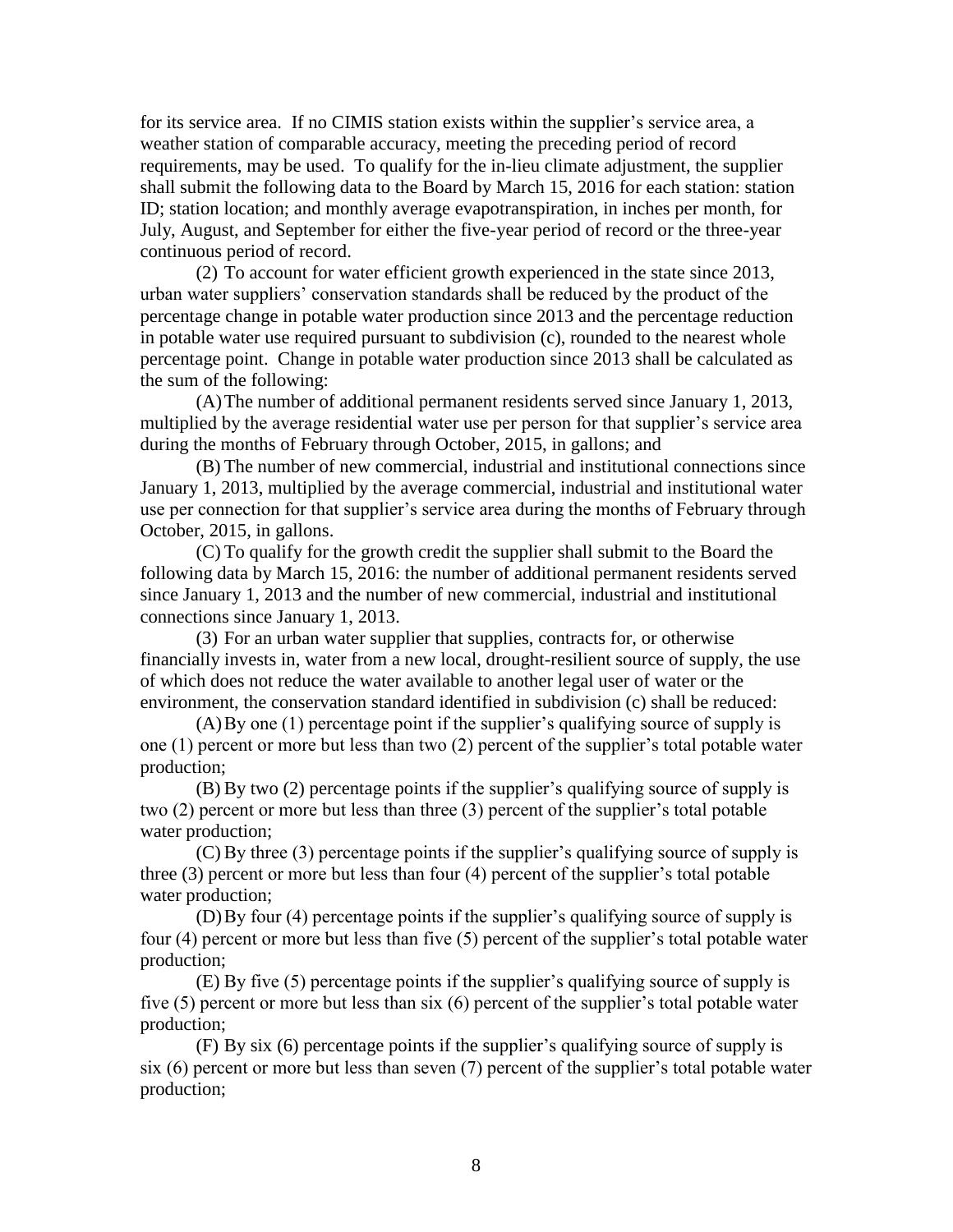for its service area. If no CIMIS station exists within the supplier's service area, a weather station of comparable accuracy, meeting the preceding period of record requirements, may be used. To qualify for the in-lieu climate adjustment, the supplier shall submit the following data to the Board by March 15, 2016 for each station: station ID; station location; and monthly average evapotranspiration, in inches per month, for July, August, and September for either the five-year period of record or the three-year continuous period of record.

(2) To account for water efficient growth experienced in the state since 2013, urban water suppliers' conservation standards shall be reduced by the product of the percentage change in potable water production since 2013 and the percentage reduction in potable water use required pursuant to subdivision (c), rounded to the nearest whole percentage point. Change in potable water production since 2013 shall be calculated as the sum of the following:

(A)The number of additional permanent residents served since January 1, 2013, multiplied by the average residential water use per person for that supplier's service area during the months of February through October, 2015, in gallons; and

(B) The number of new commercial, industrial and institutional connections since January 1, 2013, multiplied by the average commercial, industrial and institutional water use per connection for that supplier's service area during the months of February through October, 2015, in gallons.

(C) To qualify for the growth credit the supplier shall submit to the Board the following data by March 15, 2016: the number of additional permanent residents served since January 1, 2013 and the number of new commercial, industrial and institutional connections since January 1, 2013.

(3) For an urban water supplier that supplies, contracts for, or otherwise financially invests in, water from a new local, drought-resilient source of supply, the use of which does not reduce the water available to another legal user of water or the environment, the conservation standard identified in subdivision (c) shall be reduced:

(A)By one (1) percentage point if the supplier's qualifying source of supply is one (1) percent or more but less than two (2) percent of the supplier's total potable water production;

(B) By two (2) percentage points if the supplier's qualifying source of supply is two (2) percent or more but less than three (3) percent of the supplier's total potable water production;

(C) By three (3) percentage points if the supplier's qualifying source of supply is three (3) percent or more but less than four (4) percent of the supplier's total potable water production;

(D)By four (4) percentage points if the supplier's qualifying source of supply is four (4) percent or more but less than five (5) percent of the supplier's total potable water production;

(E) By five (5) percentage points if the supplier's qualifying source of supply is five (5) percent or more but less than six (6) percent of the supplier's total potable water production;

(F) By six (6) percentage points if the supplier's qualifying source of supply is six (6) percent or more but less than seven (7) percent of the supplier's total potable water production;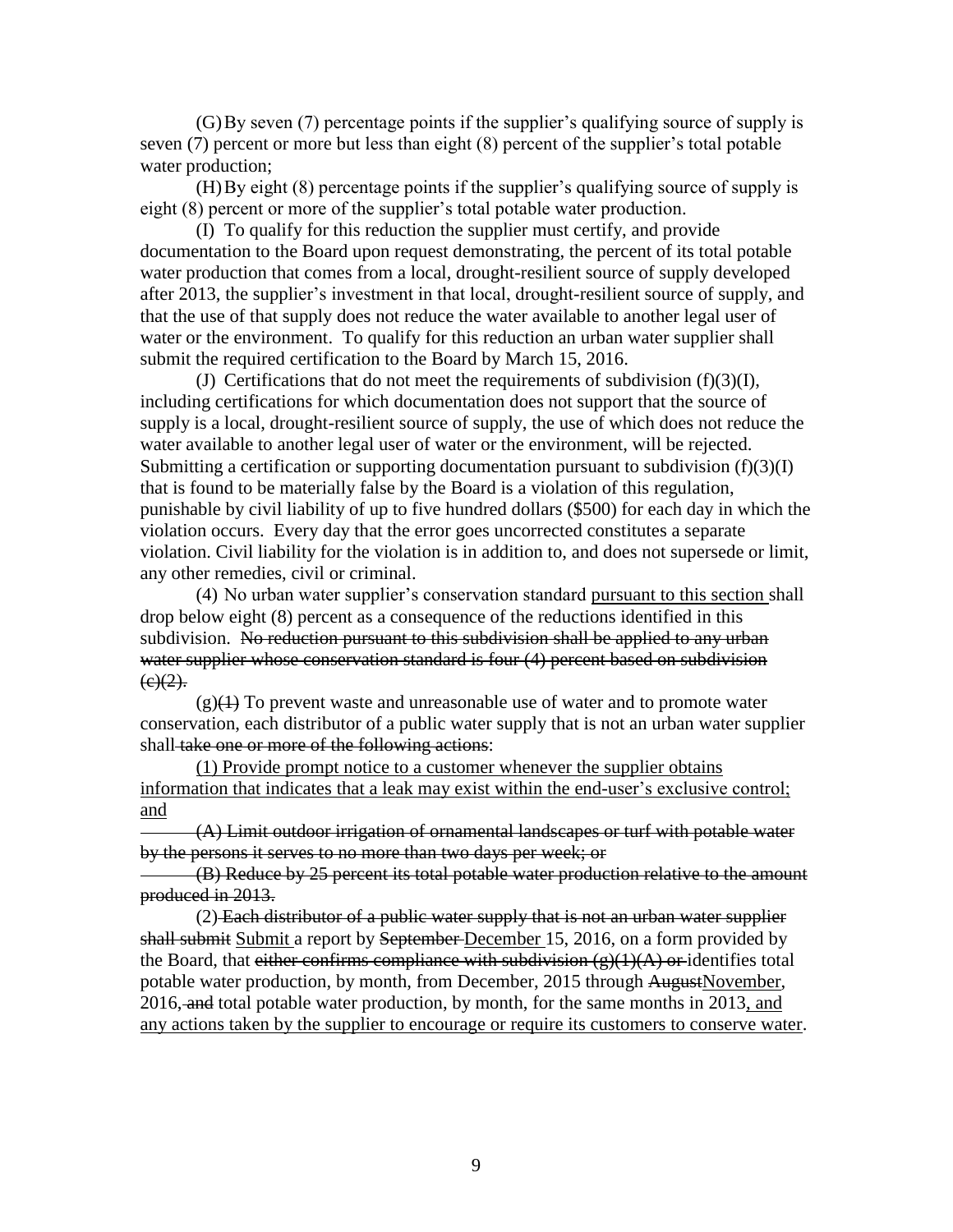(G)By seven (7) percentage points if the supplier's qualifying source of supply is seven (7) percent or more but less than eight (8) percent of the supplier's total potable water production;

(H)By eight (8) percentage points if the supplier's qualifying source of supply is eight (8) percent or more of the supplier's total potable water production.

(I) To qualify for this reduction the supplier must certify, and provide documentation to the Board upon request demonstrating, the percent of its total potable water production that comes from a local, drought-resilient source of supply developed after 2013, the supplier's investment in that local, drought-resilient source of supply, and that the use of that supply does not reduce the water available to another legal user of water or the environment. To qualify for this reduction an urban water supplier shall submit the required certification to the Board by March 15, 2016.

(J) Certifications that do not meet the requirements of subdivision  $(f)(3)(I)$ , including certifications for which documentation does not support that the source of supply is a local, drought-resilient source of supply, the use of which does not reduce the water available to another legal user of water or the environment, will be rejected. Submitting a certification or supporting documentation pursuant to subdivision  $(f)(3)(I)$ that is found to be materially false by the Board is a violation of this regulation, punishable by civil liability of up to five hundred dollars (\$500) for each day in which the violation occurs. Every day that the error goes uncorrected constitutes a separate violation. Civil liability for the violation is in addition to, and does not supersede or limit, any other remedies, civil or criminal.

(4) No urban water supplier's conservation standard pursuant to this section shall drop below eight (8) percent as a consequence of the reductions identified in this subdivision. No reduction pursuant to this subdivision shall be applied to any urban water supplier whose conservation standard is four (4) percent based on subdivision  $(e)(2)$ .

 $(g)(1)$  To prevent waste and unreasonable use of water and to promote water conservation, each distributor of a public water supply that is not an urban water supplier shall take one or more of the following actions:

(1) Provide prompt notice to a customer whenever the supplier obtains information that indicates that a leak may exist within the end-user's exclusive control; and

(A) Limit outdoor irrigation of ornamental landscapes or turf with potable water by the persons it serves to no more than two days per week; or

(B) Reduce by 25 percent its total potable water production relative to the amount produced in 2013.

(2) Each distributor of a public water supply that is not an urban water supplier shall submit Submit a report by September-December 15, 2016, on a form provided by the Board, that either confirms compliance with subdivision  $(g)(1)(A)$  or identifies total potable water production, by month, from December, 2015 through AugustNovember, 2016, and total potable water production, by month, for the same months in 2013, and any actions taken by the supplier to encourage or require its customers to conserve water.